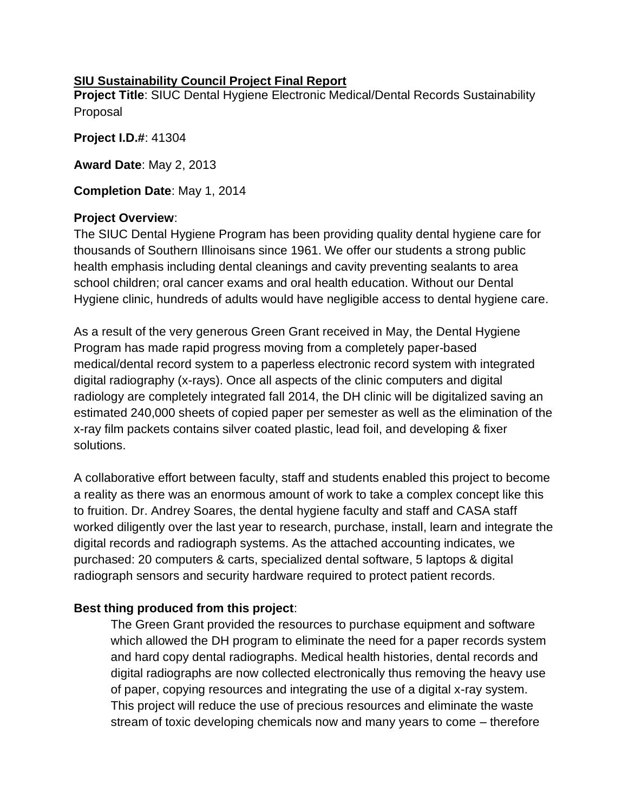## **SIU Sustainability Council Project Final Report**

**Project Title**: SIUC Dental Hygiene Electronic Medical/Dental Records Sustainability Proposal

**Project I.D.#**: 41304

**Award Date**: May 2, 2013

**Completion Date**: May 1, 2014

## **Project Overview**:

The SIUC Dental Hygiene Program has been providing quality dental hygiene care for thousands of Southern Illinoisans since 1961. We offer our students a strong public health emphasis including dental cleanings and cavity preventing sealants to area school children; oral cancer exams and oral health education. Without our Dental Hygiene clinic, hundreds of adults would have negligible access to dental hygiene care.

As a result of the very generous Green Grant received in May, the Dental Hygiene Program has made rapid progress moving from a completely paper-based medical/dental record system to a paperless electronic record system with integrated digital radiography (x-rays). Once all aspects of the clinic computers and digital radiology are completely integrated fall 2014, the DH clinic will be digitalized saving an estimated 240,000 sheets of copied paper per semester as well as the elimination of the x-ray film packets contains silver coated plastic, lead foil, and developing & fixer solutions.

A collaborative effort between faculty, staff and students enabled this project to become a reality as there was an enormous amount of work to take a complex concept like this to fruition. Dr. Andrey Soares, the dental hygiene faculty and staff and CASA staff worked diligently over the last year to research, purchase, install, learn and integrate the digital records and radiograph systems. As the attached accounting indicates, we purchased: 20 computers & carts, specialized dental software, 5 laptops & digital radiograph sensors and security hardware required to protect patient records.

# **Best thing produced from this project**:

The Green Grant provided the resources to purchase equipment and software which allowed the DH program to eliminate the need for a paper records system and hard copy dental radiographs. Medical health histories, dental records and digital radiographs are now collected electronically thus removing the heavy use of paper, copying resources and integrating the use of a digital x-ray system. This project will reduce the use of precious resources and eliminate the waste stream of toxic developing chemicals now and many years to come – therefore